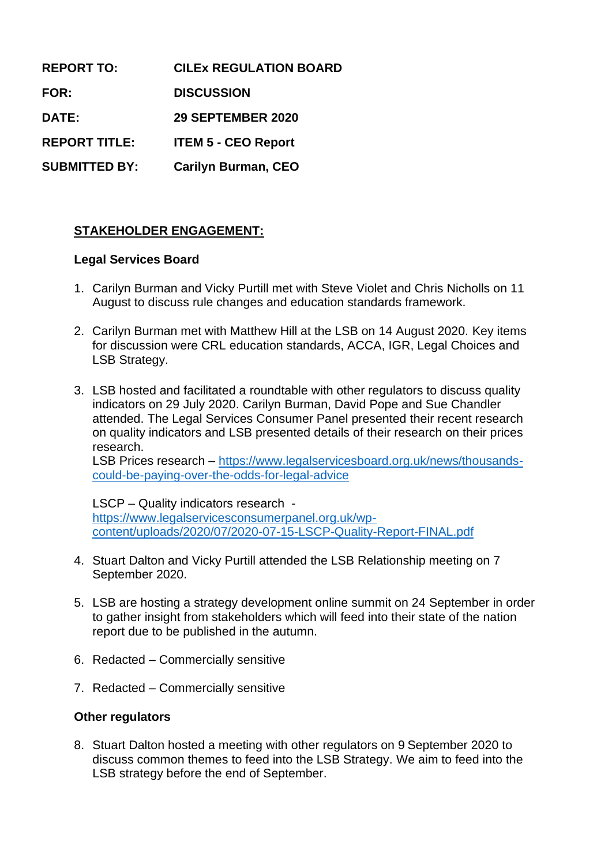| <b>REPORT TO:</b>    | <b>CILEX REGULATION BOARD</b> |
|----------------------|-------------------------------|
| <b>FOR:</b>          | <b>DISCUSSION</b>             |
| DATE:                | 29 SEPTEMBER 2020             |
| <b>REPORT TITLE:</b> | <b>ITEM 5 - CEO Report</b>    |
| <b>SUBMITTED BY:</b> | <b>Carilyn Burman, CEO</b>    |

## **STAKEHOLDER ENGAGEMENT:**

#### **Legal Services Board**

- 1. Carilyn Burman and Vicky Purtill met with Steve Violet and Chris Nicholls on 11 August to discuss rule changes and education standards framework.
- 2. Carilyn Burman met with Matthew Hill at the LSB on 14 August 2020. Key items for discussion were CRL education standards, ACCA, IGR, Legal Choices and LSB Strategy.
- 3. LSB hosted and facilitated a roundtable with other regulators to discuss quality indicators on 29 July 2020. Carilyn Burman, David Pope and Sue Chandler attended. The Legal Services Consumer Panel presented their recent research on quality indicators and LSB presented details of their research on their prices research.

LSB Prices research – [https://www.legalservicesboard.org.uk/news/thousands](https://www.legalservicesboard.org.uk/news/thousands-could-be-paying-over-the-odds-for-legal-advice)[could-be-paying-over-the-odds-for-legal-advice](https://www.legalservicesboard.org.uk/news/thousands-could-be-paying-over-the-odds-for-legal-advice)

LSCP – Quality indicators research [https://www.legalservicesconsumerpanel.org.uk/wp](https://www.legalservicesconsumerpanel.org.uk/wp-content/uploads/2020/07/2020-07-15-LSCP-Quality-Report-FINAL.pdf)[content/uploads/2020/07/2020-07-15-LSCP-Quality-Report-FINAL.pdf](https://www.legalservicesconsumerpanel.org.uk/wp-content/uploads/2020/07/2020-07-15-LSCP-Quality-Report-FINAL.pdf)

- 4. Stuart Dalton and Vicky Purtill attended the LSB Relationship meeting on 7 September 2020.
- 5. LSB are hosting a strategy development online summit on 24 September in order to gather insight from stakeholders which will feed into their state of the nation report due to be published in the autumn.
- 6. Redacted Commercially sensitive
- 7. Redacted Commercially sensitive

### **Other regulators**

8. Stuart Dalton hosted a meeting with other regulators on 9 September 2020 to discuss common themes to feed into the LSB Strategy. We aim to feed into the LSB strategy before the end of September.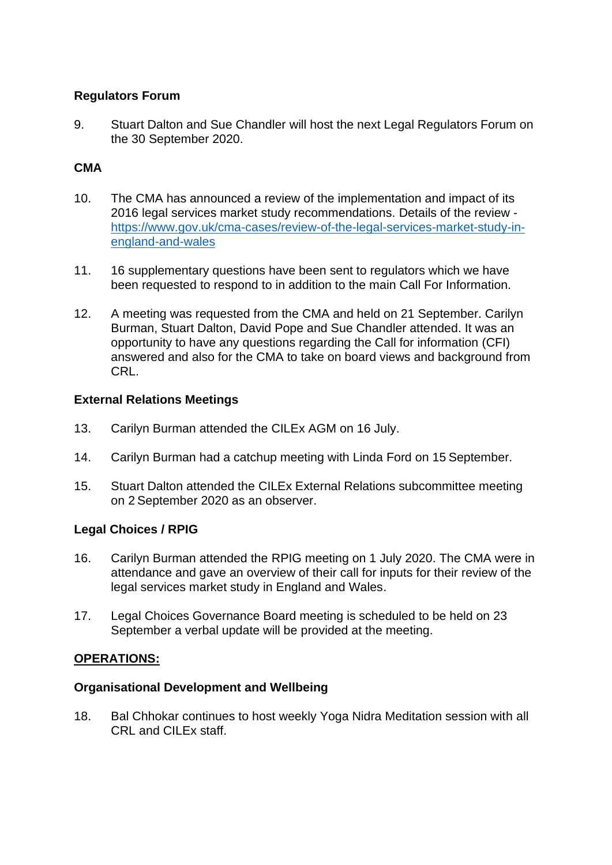### **Regulators Forum**

9. Stuart Dalton and Sue Chandler will host the next Legal Regulators Forum on the 30 September 2020.

# **CMA**

- 10. The CMA has announced a review of the implementation and impact of its 2016 legal services market study recommendations. Details of the review [https://www.gov.uk/cma-cases/review-of-the-legal-services-market-study-in](https://www.gov.uk/cma-cases/review-of-the-legal-services-market-study-in-england-and-wales)[england-and-wales](https://www.gov.uk/cma-cases/review-of-the-legal-services-market-study-in-england-and-wales)
- 11. 16 supplementary questions have been sent to regulators which we have been requested to respond to in addition to the main Call For Information.
- 12. A meeting was requested from the CMA and held on 21 September. Carilyn Burman, Stuart Dalton, David Pope and Sue Chandler attended. It was an opportunity to have any questions regarding the Call for information (CFI) answered and also for the CMA to take on board views and background from CRL.

### **External Relations Meetings**

- 13. Carilyn Burman attended the CILEx AGM on 16 July.
- 14. Carilyn Burman had a catchup meeting with Linda Ford on 15 September.
- 15. Stuart Dalton attended the CILEx External Relations subcommittee meeting on 2 September 2020 as an observer.

## **Legal Choices / RPIG**

- 16. Carilyn Burman attended the RPIG meeting on 1 July 2020. The CMA were in attendance and gave an overview of their call for inputs for their review of the legal services market study in England and Wales.
- 17. Legal Choices Governance Board meeting is scheduled to be held on 23 September a verbal update will be provided at the meeting.

## **OPERATIONS:**

### **Organisational Development and Wellbeing**

18. Bal Chhokar continues to host weekly Yoga Nidra Meditation session with all CRL and CILEx staff.